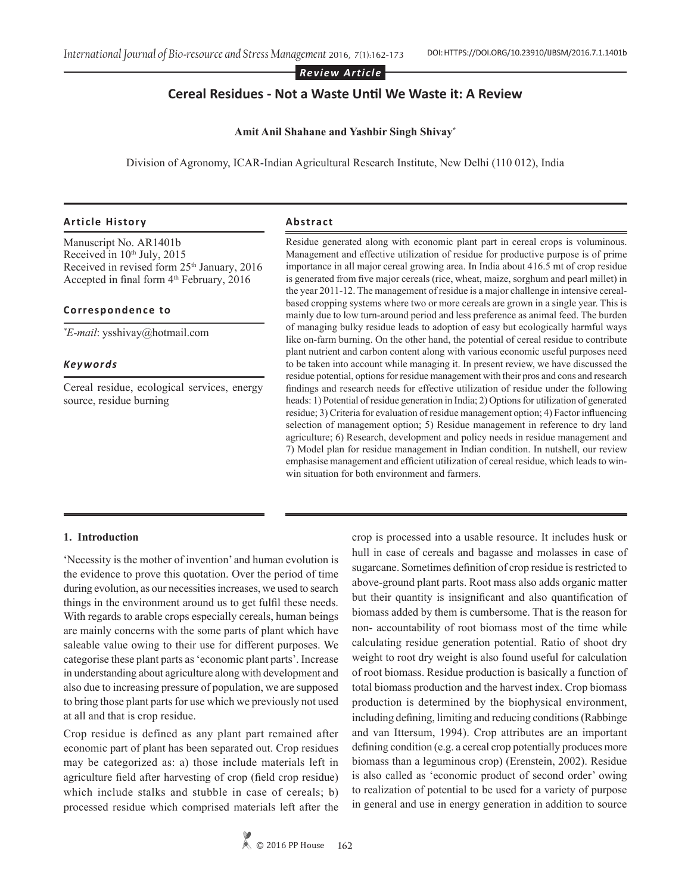*Review Article*

# **Cereal Residues - Not a Waste Until We Waste it: A Review**

#### **Amit Anil Shahane and Yashbir Singh Shivay\***

Division of Agronomy, ICAR-Indian Agricultural Research Institute, New Delhi (110 012), India

### **Article History**

Manuscript No. AR1401b Received in 10<sup>th</sup> July, 2015 Received in revised form 25<sup>th</sup> January, 2016 Accepted in final form  $4<sup>th</sup>$  February, 2016

#### **Correspondence to**

*\* E-mail*: ysshivay@hotmail.com

### *Keywords*

Cereal residue, ecological services, energy source, residue burning

### **Abstract**

Residue generated along with economic plant part in cereal crops is voluminous. Management and effective utilization of residue for productive purpose is of prime importance in all major cereal growing area. In India about 416.5 mt of crop residue is generated from five major cereals (rice, wheat, maize, sorghum and pearl millet) in the year 2011-12. The management of residue is a major challenge in intensive cerealbased cropping systems where two or more cereals are grown in a single year. This is mainly due to low turn-around period and less preference as animal feed. The burden of managing bulky residue leads to adoption of easy but ecologically harmful ways like on-farm burning. On the other hand, the potential of cereal residue to contribute plant nutrient and carbon content along with various economic useful purposes need to be taken into account while managing it. In present review, we have discussed the residue potential, options for residue management with their pros and cons and research findings and research needs for effective utilization of residue under the following heads: 1) Potential of residue generation in India; 2) Options for utilization of generated residue; 3) Criteria for evaluation of residue management option; 4) Factor influencing selection of management option; 5) Residue management in reference to dry land agriculture; 6) Research, development and policy needs in residue management and 7) Model plan for residue management in Indian condition. In nutshell, our review emphasise management and efficient utilization of cereal residue, which leads to winwin situation for both environment and farmers.

#### **1. Introduction**

'Necessity is the mother of invention' and human evolution is the evidence to prove this quotation. Over the period of time during evolution, as our necessities increases, we used to search things in the environment around us to get fulfil these needs. With regards to arable crops especially cereals, human beings are mainly concerns with the some parts of plant which have saleable value owing to their use for different purposes. We categorise these plant parts as 'economic plant parts'. Increase in understanding about agriculture along with development and also due to increasing pressure of population, we are supposed to bring those plant parts for use which we previously not used at all and that is crop residue.

Crop residue is defined as any plant part remained after economic part of plant has been separated out. Crop residues may be categorized as: a) those include materials left in agriculture field after harvesting of crop (field crop residue) which include stalks and stubble in case of cereals; b) processed residue which comprised materials left after the crop is processed into a usable resource. It includes husk or hull in case of cereals and bagasse and molasses in case of sugarcane. Sometimes definition of crop residue is restricted to above-ground plant parts. Root mass also adds organic matter but their quantity is insignificant and also quantification of biomass added by them is cumbersome. That is the reason for non- accountability of root biomass most of the time while calculating residue generation potential. Ratio of shoot dry weight to root dry weight is also found useful for calculation of root biomass. Residue production is basically a function of total biomass production and the harvest index. Crop biomass production is determined by the biophysical environment, including defining, limiting and reducing conditions (Rabbinge and van Ittersum, 1994). Crop attributes are an important defining condition (e.g. a cereal crop potentially produces more biomass than a leguminous crop) (Erenstein, 2002). Residue is also called as 'economic product of second order' owing to realization of potential to be used for a variety of purpose in general and use in energy generation in addition to source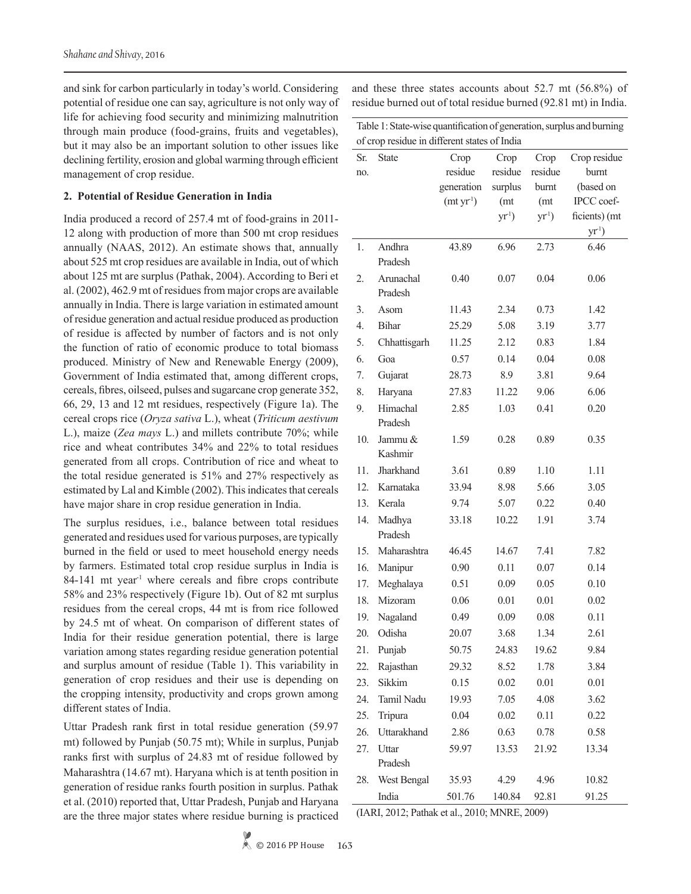and sink for carbon particularly in today's world. Considering potential of residue one can say, agriculture is not only way of life for achieving food security and minimizing malnutrition through main produce (food-grains, fruits and vegetables), but it may also be an important solution to other issues like declining fertility, erosion and global warming through efficient management of crop residue.

#### **2. Potential of Residue Generation in India**

India produced a record of 257.4 mt of food-grains in 2011- 12 along with production of more than 500 mt crop residues annually (NAAS, 2012). An estimate shows that, annually about 525 mt crop residues are available in India, out of which about 125 mt are surplus (Pathak, 2004). According to Beri et al. (2002), 462.9 mt of residues from major crops are available annually in India. There is large variation in estimated amount of residue generation and actual residue produced as production of residue is affected by number of factors and is not only the function of ratio of economic produce to total biomass produced. Ministry of New and Renewable Energy (2009), Government of India estimated that, among different crops, cereals, fibres, oilseed, pulses and sugarcane crop generate 352, 66, 29, 13 and 12 mt residues, respectively (Figure 1a). The cereal crops rice (*Oryza sativa* L.), wheat (*Triticum aestivum* L.), maize (*Zea mays* L.) and millets contribute 70%; while rice and wheat contributes 34% and 22% to total residues generated from all crops. Contribution of rice and wheat to the total residue generated is 51% and 27% respectively as estimated by Lal and Kimble (2002). This indicates that cereals have major share in crop residue generation in India.

The surplus residues, i.e., balance between total residues generated and residues used for various purposes, are typically burned in the field or used to meet household energy needs by farmers. Estimated total crop residue surplus in India is  $84-141$  mt year<sup>1</sup> where cereals and fibre crops contribute 58% and 23% respectively (Figure 1b). Out of 82 mt surplus residues from the cereal crops, 44 mt is from rice followed by 24.5 mt of wheat. On comparison of different states of India for their residue generation potential, there is large variation among states regarding residue generation potential and surplus amount of residue (Table 1). This variability in generation of crop residues and their use is depending on the cropping intensity, productivity and crops grown among different states of India.

Uttar Pradesh rank first in total residue generation (59.97 mt) followed by Punjab (50.75 mt); While in surplus, Punjab ranks first with surplus of 24.83 mt of residue followed by Maharashtra (14.67 mt). Haryana which is at tenth position in generation of residue ranks fourth position in surplus. Pathak et al. (2010) reported that, Uttar Pradesh, Punjab and Haryana are the three major states where residue burning is practiced and these three states accounts about 52.7 mt (56.8%) of residue burned out of total residue burned (92.81 mt) in India.

| Table 1: State-wise quantification of generation, surplus and burning<br>of crop residue in different states of India |              |                       |         |         |               |
|-----------------------------------------------------------------------------------------------------------------------|--------------|-----------------------|---------|---------|---------------|
| Sr.                                                                                                                   | <b>State</b> | Crop                  | Crop    | Crop    | Crop residue  |
| no.                                                                                                                   |              | residue               | residue | residue | burnt         |
|                                                                                                                       |              | generation            | surplus | burnt   | (based on     |
|                                                                                                                       |              | (mt yr <sup>1</sup> ) | (mt     | (mt     | IPCC coef-    |
|                                                                                                                       |              |                       | $yr1$ ) | $yr1$ ) | ficients) (mt |
|                                                                                                                       |              |                       |         |         | $yr1$ )       |
| 1.                                                                                                                    | Andhra       | 43.89                 | 6.96    | 2.73    | 6.46          |
|                                                                                                                       | Pradesh      |                       |         |         |               |
| 2.                                                                                                                    | Arunachal    | 0.40                  | 0.07    | 0.04    | 0.06          |
|                                                                                                                       | Pradesh      |                       |         |         |               |
| 3.                                                                                                                    | Asom         | 11.43                 | 2.34    | 0.73    | 1.42          |
| $\overline{4}$ .                                                                                                      | <b>Bihar</b> | 25.29                 | 5.08    | 3.19    | 3.77          |
| 5.                                                                                                                    | Chhattisgarh | 11.25                 | 2.12    | 0.83    | 1.84          |
| 6.                                                                                                                    | Goa          | 0.57                  | 0.14    | 0.04    | 0.08          |
| 7.                                                                                                                    | Gujarat      | 28.73                 | 8.9     | 3.81    | 9.64          |
| 8.                                                                                                                    | Haryana      | 27.83                 | 11.22   | 9.06    | 6.06          |
| 9.                                                                                                                    | Himachal     | 2.85                  | 1.03    | 0.41    | 0.20          |
|                                                                                                                       | Pradesh      |                       |         |         |               |
| 10.                                                                                                                   | Jammu &      | 1.59                  | 0.28    | 0.89    | 0.35          |
|                                                                                                                       | Kashmir      |                       |         |         |               |
| 11.                                                                                                                   | Jharkhand    | 3.61                  | 0.89    | 1.10    | 1.11          |
| 12.                                                                                                                   | Karnataka    | 33.94                 | 8.98    | 5.66    | 3.05          |
| 13.                                                                                                                   | Kerala       | 9.74                  | 5.07    | 0.22    | 0.40          |
| 14.                                                                                                                   | Madhya       | 33.18                 | 10.22   | 1.91    | 3.74          |
|                                                                                                                       | Pradesh      |                       |         |         |               |
| 15.                                                                                                                   | Maharashtra  | 46.45                 | 14.67   | 7.41    | 7.82          |
| 16.                                                                                                                   | Manipur      | 0.90                  | 0.11    | 0.07    | 0.14          |
| 17.                                                                                                                   | Meghalaya    | 0.51                  | 0.09    | 0.05    | 0.10          |
| 18.                                                                                                                   | Mizoram      | 0.06                  | 0.01    | 0.01    | 0.02          |
| 19.                                                                                                                   | Nagaland     | 0.49                  | 0.09    | 0.08    | 0.11          |
| 20.                                                                                                                   | Odisha       | 20.07                 | 3.68    | 1.34    | 2.61          |
| 21.                                                                                                                   | Punjab       | 50.75                 | 24.83   | 19.62   | 9.84          |
| 22.                                                                                                                   | Rajasthan    | 29.32                 | 8.52    | 1.78    | 3.84          |
| 23.                                                                                                                   | Sikkim       | 0.15                  | 0.02    | 0.01    | 0.01          |
| 24.                                                                                                                   | Tamil Nadu   | 19.93                 | 7.05    | 4.08    | 3.62          |
| 25.                                                                                                                   | Tripura      | 0.04                  | 0.02    | 0.11    | 0.22          |
| 26.                                                                                                                   | Uttarakhand  | 2.86                  | 0.63    | 0.78    | 0.58          |
| 27.                                                                                                                   | Uttar        | 59.97                 | 13.53   | 21.92   | 13.34         |
|                                                                                                                       | Pradesh      |                       |         |         |               |
| 28.                                                                                                                   | West Bengal  | 35.93                 | 4.29    | 4.96    | 10.82         |
|                                                                                                                       | India        | 501.76                | 140.84  | 92.81   | 91.25         |

(IARI, 2012; Pathak et al., 2010; MNRE, 2009)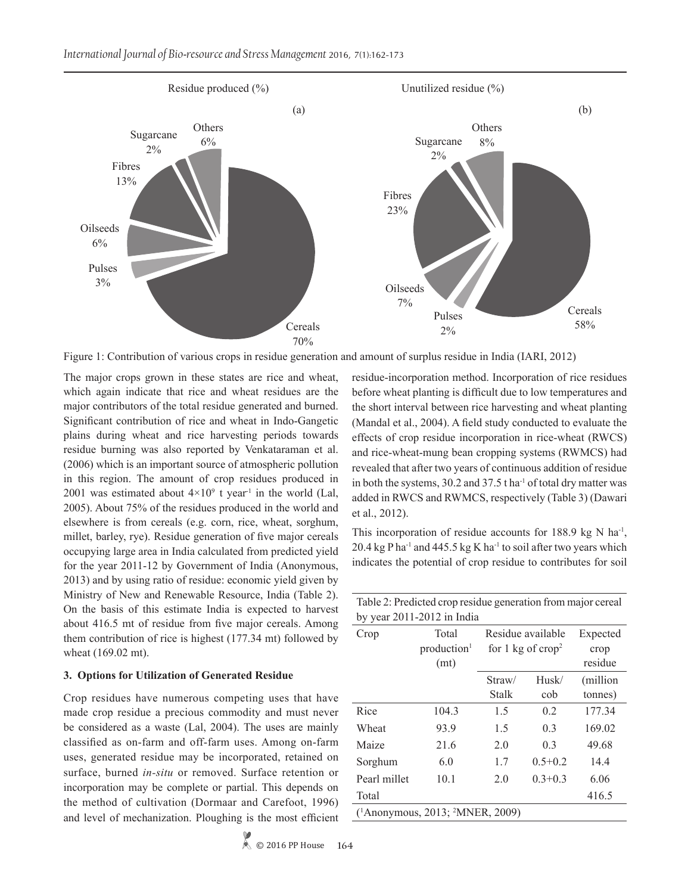

Figure 1: Contribution of various crops in residue generation and amount of surplus residue in India (IARI, 2012)

The major crops grown in these states are rice and wheat, which again indicate that rice and wheat residues are the major contributors of the total residue generated and burned. Significant contribution of rice and wheat in Indo-Gangetic plains during wheat and rice harvesting periods towards residue burning was also reported by Venkataraman et al. (2006) which is an important source of atmospheric pollution in this region. The amount of crop residues produced in 2001 was estimated about  $4\times10^9$  t year<sup>1</sup> in the world (Lal, 2005). About 75% of the residues produced in the world and elsewhere is from cereals (e.g. corn, rice, wheat, sorghum, millet, barley, rye). Residue generation of five major cereals occupying large area in India calculated from predicted yield for the year 2011-12 by Government of India (Anonymous, 2013) and by using ratio of residue: economic yield given by Ministry of New and Renewable Resource, India (Table 2). On the basis of this estimate India is expected to harvest about 416.5 mt of residue from five major cereals. Among them contribution of rice is highest (177.34 mt) followed by wheat (169.02 mt).

#### **3. Options for Utilization of Generated Residue**

Crop residues have numerous competing uses that have made crop residue a precious commodity and must never be considered as a waste (Lal, 2004). The uses are mainly classified as on-farm and off-farm uses. Among on-farm uses, generated residue may be incorporated, retained on surface, burned *in-situ* or removed. Surface retention or incorporation may be complete or partial. This depends on the method of cultivation (Dormaar and Carefoot, 1996) and level of mechanization. Ploughing is the most efficient

residue-incorporation method. Incorporation of rice residues before wheat planting is difficult due to low temperatures and the short interval between rice harvesting and wheat planting (Mandal et al., 2004). A field study conducted to evaluate the effects of crop residue incorporation in rice-wheat (RWCS) and rice-wheat-mung bean cropping systems (RWMCS) had revealed that after two years of continuous addition of residue in both the systems, 30.2 and 37.5 t ha<sup>-1</sup> of total dry matter was added in RWCS and RWMCS, respectively (Table 3) (Dawari et al., 2012).

This incorporation of residue accounts for 188.9 kg N ha<sup>-1</sup>, 20.4 kg P ha<sup>-1</sup> and 445.5 kg K ha<sup>-1</sup> to soil after two years which indicates the potential of crop residue to contributes for soil

Table 2: Predicted crop residue generation from major cereal

|                                                          | by year $2011-2012$ in India |                             |             |           |
|----------------------------------------------------------|------------------------------|-----------------------------|-------------|-----------|
| Crop                                                     | Total                        | Residue available           |             | Expected  |
|                                                          | production <sup>1</sup>      | for 1 kg of $\text{crop}^2$ |             | crop      |
|                                                          | (mt)                         |                             |             | residue   |
|                                                          |                              | Straw/                      | Husk/       | (million) |
|                                                          |                              | <b>Stalk</b>                | cob         | tonnes)   |
| Rice                                                     | 104.3                        | 1.5                         | 0.2         | 177.34    |
| Wheat                                                    | 93.9                         | 1.5                         | 0.3         | 169.02    |
| Maize                                                    | 21.6                         | 2.0                         | 0.3         | 49.68     |
| Sorghum                                                  | 6.0                          | 1.7                         | $0.5 + 0.2$ | 14.4      |
| Pearl millet                                             | 10.1                         | 2.0                         | $0.3 + 0.3$ | 6.06      |
| Total                                                    |                              |                             |             | 416.5     |
| ( <sup>1</sup> Anonymous, 2013; <sup>2</sup> MNER, 2009) |                              |                             |             |           |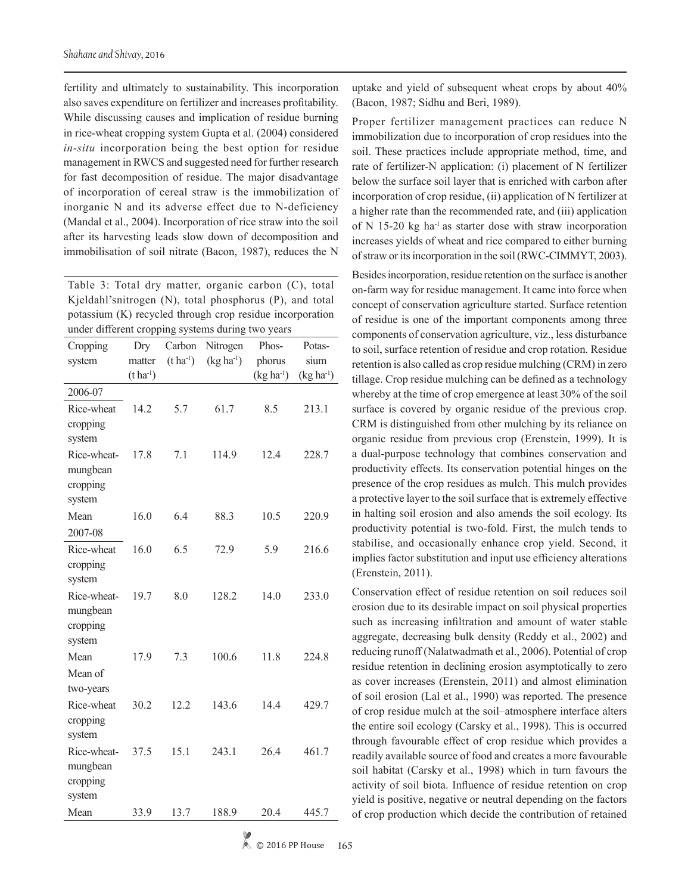fertility and ultimately to sustainability. This incorporation also saves expenditure on fertilizer and increases profitability. While discussing causes and implication of residue burning in rice-wheat cropping system Gupta et al. (2004) considered *in-situ* incorporation being the best option for residue management in RWCS and suggested need for further research for fast decomposition of residue. The major disadvantage of incorporation of cereal straw is the immobilization of inorganic N and its adverse effect due to N-deficiency (Mandal et al., 2004). Incorporation of rice straw into the soil after its harvesting leads slow down of decomposition and immobilisation of soil nitrate (Bacon, 1987), reduces the N

Table 3: Total dry matter, organic carbon (C), total Kjeldahl'snitrogen (N), total phosphorus (P), and total potassium (K) recycled through crop residue incorporation under different cropping systems during two years

| $(t ha-1)$<br>$(kg ha-1)$<br>sium<br>phorus<br>system<br>matter<br>$(t \, ha^{-1})$<br>$(kg ha-1)$<br>$(kg ha-1)$<br>2006-07<br>Rice-wheat<br>14.2<br>5.7<br>61.7<br>8.5<br>213.1<br>cropping<br>system<br>Rice-wheat-<br>7.1<br>12.4<br>17.8<br>114.9<br>228.7<br>mungbean<br>cropping<br>system<br>Mean<br>16.0<br>6.4<br>88.3<br>10.5<br>220.9<br>2007-08<br>Rice-wheat<br>16.0<br>6.5<br>72.9<br>216.6<br>5.9 |
|-------------------------------------------------------------------------------------------------------------------------------------------------------------------------------------------------------------------------------------------------------------------------------------------------------------------------------------------------------------------------------------------------------------------|
|                                                                                                                                                                                                                                                                                                                                                                                                                   |
|                                                                                                                                                                                                                                                                                                                                                                                                                   |
|                                                                                                                                                                                                                                                                                                                                                                                                                   |
|                                                                                                                                                                                                                                                                                                                                                                                                                   |
|                                                                                                                                                                                                                                                                                                                                                                                                                   |
|                                                                                                                                                                                                                                                                                                                                                                                                                   |
|                                                                                                                                                                                                                                                                                                                                                                                                                   |
|                                                                                                                                                                                                                                                                                                                                                                                                                   |
|                                                                                                                                                                                                                                                                                                                                                                                                                   |
|                                                                                                                                                                                                                                                                                                                                                                                                                   |
|                                                                                                                                                                                                                                                                                                                                                                                                                   |
|                                                                                                                                                                                                                                                                                                                                                                                                                   |
|                                                                                                                                                                                                                                                                                                                                                                                                                   |
| cropping                                                                                                                                                                                                                                                                                                                                                                                                          |
| system                                                                                                                                                                                                                                                                                                                                                                                                            |
| Rice-wheat-<br>19.7<br>8.0<br>128.2<br>14.0<br>233.0                                                                                                                                                                                                                                                                                                                                                              |
| mungbean                                                                                                                                                                                                                                                                                                                                                                                                          |
| cropping                                                                                                                                                                                                                                                                                                                                                                                                          |
| system                                                                                                                                                                                                                                                                                                                                                                                                            |
| 100.6<br>Mean<br>17.9<br>7.3<br>11.8<br>224.8                                                                                                                                                                                                                                                                                                                                                                     |
| Mean of                                                                                                                                                                                                                                                                                                                                                                                                           |
| two-years                                                                                                                                                                                                                                                                                                                                                                                                         |
| Rice-wheat<br>30.2<br>12.2<br>143.6<br>14.4<br>429.7                                                                                                                                                                                                                                                                                                                                                              |
| cropping                                                                                                                                                                                                                                                                                                                                                                                                          |
| system                                                                                                                                                                                                                                                                                                                                                                                                            |
| Rice-wheat-<br>243.1<br>37.5<br>15.1<br>26.4<br>461.7                                                                                                                                                                                                                                                                                                                                                             |
| mungbean                                                                                                                                                                                                                                                                                                                                                                                                          |
| cropping                                                                                                                                                                                                                                                                                                                                                                                                          |
| system                                                                                                                                                                                                                                                                                                                                                                                                            |
| Mean<br>33.9<br>13.7<br>188.9<br>20.4<br>445.7                                                                                                                                                                                                                                                                                                                                                                    |

uptake and yield of subsequent wheat crops by about 40% (Bacon, 1987; Sidhu and Beri, 1989).

Proper fertilizer management practices can reduce N immobilization due to incorporation of crop residues into the soil. These practices include appropriate method, time, and rate of fertilizer-N application: (i) placement of N fertilizer below the surface soil layer that is enriched with carbon after incorporation of crop residue, (ii) application of N fertilizer at a higher rate than the recommended rate, and (iii) application of N 15-20 kg ha<sup>-1</sup> as starter dose with straw incorporation increases yields of wheat and rice compared to either burning of straw or its incorporation in the soil (RWC-CIMMYT, 2003).

Besides incorporation, residue retention on the surface is another on-farm way for residue management. It came into force when concept of conservation agriculture started. Surface retention of residue is one of the important components among three components of conservation agriculture, viz., less disturbance to soil, surface retention of residue and crop rotation. Residue retention is also called as crop residue mulching (CRM) in zero tillage. Crop residue mulching can be defined as a technology whereby at the time of crop emergence at least 30% of the soil surface is covered by organic residue of the previous crop. CRM is distinguished from other mulching by its reliance on organic residue from previous crop (Erenstein, 1999). It is a dual-purpose technology that combines conservation and productivity effects. Its conservation potential hinges on the presence of the crop residues as mulch. This mulch provides a protective layer to the soil surface that is extremely effective in halting soil erosion and also amends the soil ecology. Its productivity potential is two-fold. First, the mulch tends to stabilise, and occasionally enhance crop yield. Second, it implies factor substitution and input use efficiency alterations (Erenstein, 2011).

Conservation effect of residue retention on soil reduces soil erosion due to its desirable impact on soil physical properties such as increasing infiltration and amount of water stable aggregate, decreasing bulk density (Reddy et al., 2002) and reducing runoff (Nalatwadmath et al., 2006). Potential of crop residue retention in declining erosion asymptotically to zero as cover increases (Erenstein, 2011) and almost elimination of soil erosion (Lal et al., 1990) was reported. The presence of crop residue mulch at the soil–atmosphere interface alters the entire soil ecology (Carsky et al., 1998). This is occurred through favourable effect of crop residue which provides a readily available source of food and creates a more favourable soil habitat (Carsky et al., 1998) which in turn favours the activity of soil biota. Influence of residue retention on crop yield is positive, negative or neutral depending on the factors of crop production which decide the contribution of retained

© 2016 PP House **165**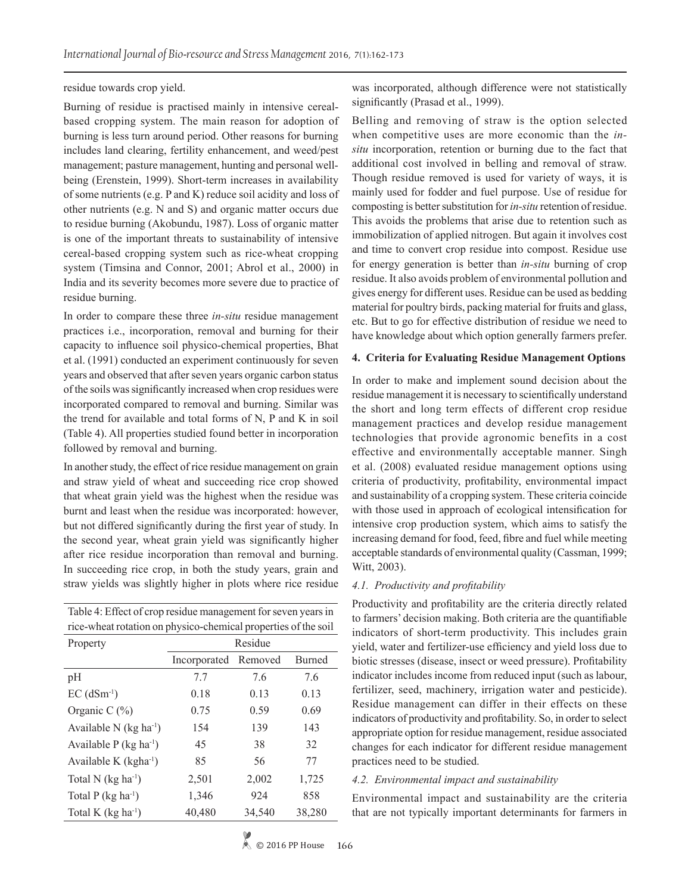#### residue towards crop yield.

Burning of residue is practised mainly in intensive cerealbased cropping system. The main reason for adoption of burning is less turn around period. Other reasons for burning includes land clearing, fertility enhancement, and weed/pest management; pasture management, hunting and personal wellbeing (Erenstein, 1999). Short-term increases in availability of some nutrients (e.g. P and K) reduce soil acidity and loss of other nutrients (e.g. N and S) and organic matter occurs due to residue burning (Akobundu, 1987). Loss of organic matter is one of the important threats to sustainability of intensive cereal-based cropping system such as rice-wheat cropping system (Timsina and Connor, 2001; Abrol et al., 2000) in India and its severity becomes more severe due to practice of residue burning.

In order to compare these three *in-situ* residue management practices i.e., incorporation, removal and burning for their capacity to influence soil physico-chemical properties, Bhat et al. (1991) conducted an experiment continuously for seven years and observed that after seven years organic carbon status of the soils was significantly increased when crop residues were incorporated compared to removal and burning. Similar was the trend for available and total forms of N, P and K in soil (Table 4). All properties studied found better in incorporation followed by removal and burning.

In another study, the effect of rice residue management on grain and straw yield of wheat and succeeding rice crop showed that wheat grain yield was the highest when the residue was burnt and least when the residue was incorporated: however, but not differed significantly during the first year of study. In the second year, wheat grain yield was significantly higher after rice residue incorporation than removal and burning. In succeeding rice crop, in both the study years, grain and straw yields was slightly higher in plots where rice residue

| Table 4: Effect of crop residue management for seven years in  |  |
|----------------------------------------------------------------|--|
| rice-wheat rotation on physico-chemical properties of the soil |  |

| Property                             | Residue      |         |               |  |
|--------------------------------------|--------------|---------|---------------|--|
|                                      | Incorporated | Removed | <b>Burned</b> |  |
| pH                                   | 7.7          | 7.6     | 7.6           |  |
| $EC$ (dSm <sup>-1</sup> )            | 0.18         | 0.13    | 0.13          |  |
| Organic C $(\% )$                    | 0.75         | 0.59    | 0.69          |  |
| Available N $(kg ha-1)$              | 154          | 139     | 143           |  |
| Available $P$ (kg ha <sup>-1</sup> ) | 45           | 38      | 32            |  |
| Available K $(kgha^{-1})$            | 85           | 56      | 77            |  |
| Total N $(kg ha^{-1})$               | 2,501        | 2,002   | 1,725         |  |
| Total $P$ (kg ha <sup>-1</sup> )     | 1,346        | 924     | 858           |  |
| Total K $(kg ha^{-1})$               | 40,480       | 34,540  | 38,280        |  |

was incorporated, although difference were not statistically significantly (Prasad et al., 1999).

Belling and removing of straw is the option selected when competitive uses are more economic than the *insitu* incorporation, retention or burning due to the fact that additional cost involved in belling and removal of straw. Though residue removed is used for variety of ways, it is mainly used for fodder and fuel purpose. Use of residue for composting is better substitution for *in-situ* retention of residue. This avoids the problems that arise due to retention such as immobilization of applied nitrogen. But again it involves cost and time to convert crop residue into compost. Residue use for energy generation is better than *in-situ* burning of crop residue. It also avoids problem of environmental pollution and gives energy for different uses. Residue can be used as bedding material for poultry birds, packing material for fruits and glass, etc. But to go for effective distribution of residue we need to have knowledge about which option generally farmers prefer.

#### **4. Criteria for Evaluating Residue Management Options**

In order to make and implement sound decision about the residue management it is necessary to scientifically understand the short and long term effects of different crop residue management practices and develop residue management technologies that provide agronomic benefits in a cost effective and environmentally acceptable manner. Singh et al. (2008) evaluated residue management options using criteria of productivity, profitability, environmental impact and sustainability of a cropping system. These criteria coincide with those used in approach of ecological intensification for intensive crop production system, which aims to satisfy the increasing demand for food, feed, fibre and fuel while meeting acceptable standards of environmental quality (Cassman, 1999; Witt, 2003).

#### *4.1. Productivity and profitability*

Productivity and profitability are the criteria directly related to farmers' decision making. Both criteria are the quantifiable indicators of short-term productivity. This includes grain yield, water and fertilizer-use efficiency and yield loss due to biotic stresses (disease, insect or weed pressure). Profitability indicator includes income from reduced input (such as labour, fertilizer, seed, machinery, irrigation water and pesticide). Residue management can differ in their effects on these indicators of productivity and profitability. So, in order to select appropriate option for residue management, residue associated changes for each indicator for different residue management practices need to be studied.

#### *4.2. Environmental impact and sustainability*

Environmental impact and sustainability are the criteria that are not typically important determinants for farmers in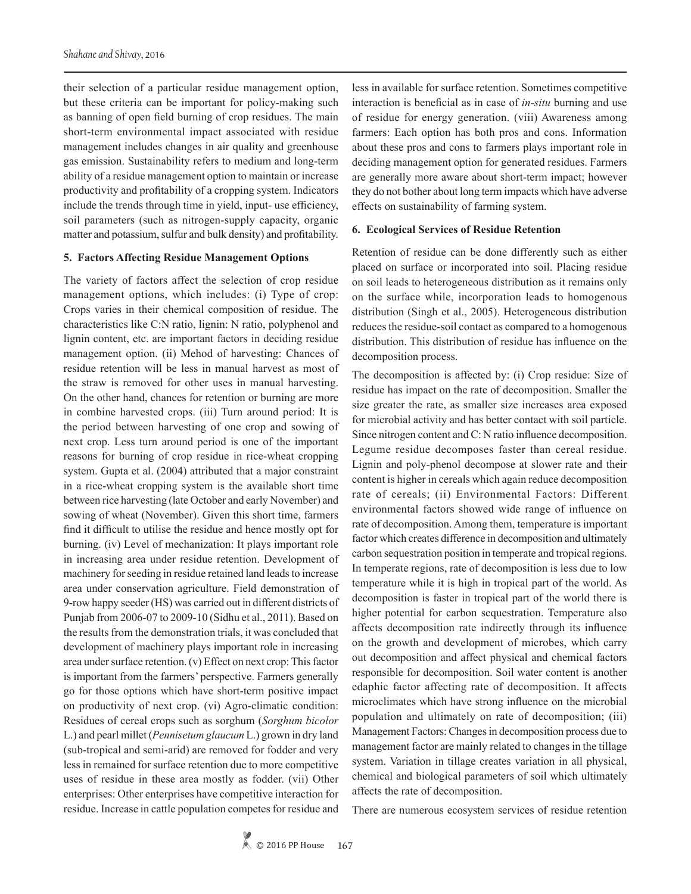their selection of a particular residue management option, but these criteria can be important for policy-making such as banning of open field burning of crop residues. The main short-term environmental impact associated with residue management includes changes in air quality and greenhouse gas emission. Sustainability refers to medium and long-term ability of a residue management option to maintain or increase productivity and profitability of a cropping system. Indicators include the trends through time in yield, input- use efficiency, soil parameters (such as nitrogen-supply capacity, organic matter and potassium, sulfur and bulk density) and profitability.

#### **5. Factors Affecting Residue Management Options**

The variety of factors affect the selection of crop residue management options, which includes: (i) Type of crop: Crops varies in their chemical composition of residue. The characteristics like C:N ratio, lignin: N ratio, polyphenol and lignin content, etc. are important factors in deciding residue management option. (ii) Mehod of harvesting: Chances of residue retention will be less in manual harvest as most of the straw is removed for other uses in manual harvesting. On the other hand, chances for retention or burning are more in combine harvested crops. (iii) Turn around period: It is the period between harvesting of one crop and sowing of next crop. Less turn around period is one of the important reasons for burning of crop residue in rice-wheat cropping system. Gupta et al. (2004) attributed that a major constraint in a rice-wheat cropping system is the available short time between rice harvesting (late October and early November) and sowing of wheat (November). Given this short time, farmers find it difficult to utilise the residue and hence mostly opt for burning. (iv) Level of mechanization: It plays important role in increasing area under residue retention. Development of machinery for seeding in residue retained land leads to increase area under conservation agriculture. Field demonstration of 9-row happy seeder (HS) was carried out in different districts of Punjab from 2006-07 to 2009-10 (Sidhu et al., 2011). Based on the results from the demonstration trials, it was concluded that development of machinery plays important role in increasing area under surface retention. (v) Effect on next crop: This factor is important from the farmers' perspective. Farmers generally go for those options which have short-term positive impact on productivity of next crop. (vi) Agro-climatic condition: Residues of cereal crops such as sorghum (*Sorghum bicolor* L.) and pearl millet (*Pennisetum glaucum* L.) grown in dry land (sub-tropical and semi-arid) are removed for fodder and very less in remained for surface retention due to more competitive uses of residue in these area mostly as fodder. (vii) Other enterprises: Other enterprises have competitive interaction for residue. Increase in cattle population competes for residue and

less in available for surface retention. Sometimes competitive interaction is beneficial as in case of *in-situ* burning and use of residue for energy generation. (viii) Awareness among farmers: Each option has both pros and cons. Information about these pros and cons to farmers plays important role in deciding management option for generated residues. Farmers are generally more aware about short-term impact; however they do not bother about long term impacts which have adverse effects on sustainability of farming system.

#### **6. Ecological Services of Residue Retention**

Retention of residue can be done differently such as either placed on surface or incorporated into soil. Placing residue on soil leads to heterogeneous distribution as it remains only on the surface while, incorporation leads to homogenous distribution (Singh et al., 2005). Heterogeneous distribution reduces the residue-soil contact as compared to a homogenous distribution. This distribution of residue has influence on the decomposition process.

The decomposition is affected by: (i) Crop residue: Size of residue has impact on the rate of decomposition. Smaller the size greater the rate, as smaller size increases area exposed for microbial activity and has better contact with soil particle. Since nitrogen content and C: N ratio influence decomposition. Legume residue decomposes faster than cereal residue. Lignin and poly-phenol decompose at slower rate and their content is higher in cereals which again reduce decomposition rate of cereals; (ii) Environmental Factors: Different environmental factors showed wide range of influence on rate of decomposition. Among them, temperature is important factor which creates difference in decomposition and ultimately carbon sequestration position in temperate and tropical regions. In temperate regions, rate of decomposition is less due to low temperature while it is high in tropical part of the world. As decomposition is faster in tropical part of the world there is higher potential for carbon sequestration. Temperature also affects decomposition rate indirectly through its influence on the growth and development of microbes, which carry out decomposition and affect physical and chemical factors responsible for decomposition. Soil water content is another edaphic factor affecting rate of decomposition. It affects microclimates which have strong influence on the microbial population and ultimately on rate of decomposition; (iii) Management Factors: Changes in decomposition process due to management factor are mainly related to changes in the tillage system. Variation in tillage creates variation in all physical, chemical and biological parameters of soil which ultimately affects the rate of decomposition.

There are numerous ecosystem services of residue retention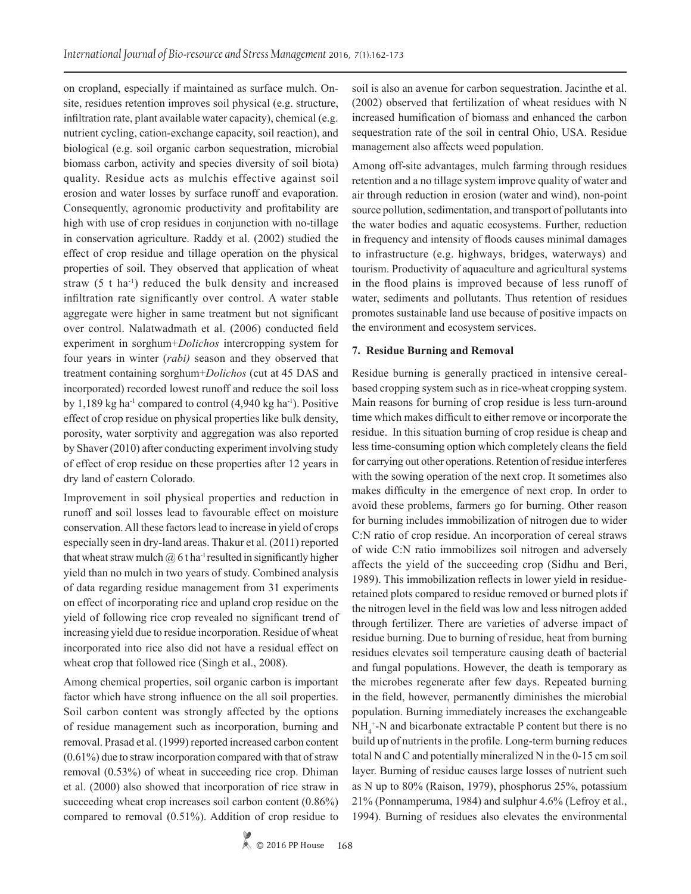on cropland, especially if maintained as surface mulch. Onsite, residues retention improves soil physical (e.g. structure, infiltration rate, plant available water capacity), chemical (e.g. nutrient cycling, cation-exchange capacity, soil reaction), and biological (e.g. soil organic carbon sequestration, microbial biomass carbon, activity and species diversity of soil biota) quality. Residue acts as mulchis effective against soil erosion and water losses by surface runoff and evaporation. Consequently, agronomic productivity and profitability are high with use of crop residues in conjunction with no-tillage in conservation agriculture. Raddy et al. (2002) studied the effect of crop residue and tillage operation on the physical properties of soil. They observed that application of wheat straw  $(5 \t{t} \text{ ha}^{-1})$  reduced the bulk density and increased infiltration rate significantly over control. A water stable aggregate were higher in same treatment but not significant over control. Nalatwadmath et al. (2006) conducted field experiment in sorghum+*Dolichos* intercropping system for four years in winter (*rabi)* season and they observed that treatment containing sorghum+*Dolichos* (cut at 45 DAS and incorporated) recorded lowest runoff and reduce the soil loss by 1,189 kg ha<sup>-1</sup> compared to control  $(4,940 \text{ kg ha}^{-1})$ . Positive effect of crop residue on physical properties like bulk density, porosity, water sorptivity and aggregation was also reported by Shaver (2010) after conducting experiment involving study of effect of crop residue on these properties after 12 years in dry land of eastern Colorado.

Improvement in soil physical properties and reduction in runoff and soil losses lead to favourable effect on moisture conservation. All these factors lead to increase in yield of crops especially seen in dry-land areas. Thakur et al. (2011) reported that wheat straw mulch  $\omega$  6 t ha<sup>-1</sup> resulted in significantly higher yield than no mulch in two years of study. Combined analysis of data regarding residue management from 31 experiments on effect of incorporating rice and upland crop residue on the yield of following rice crop revealed no significant trend of increasing yield due to residue incorporation. Residue of wheat incorporated into rice also did not have a residual effect on wheat crop that followed rice (Singh et al., 2008).

Among chemical properties, soil organic carbon is important factor which have strong influence on the all soil properties. Soil carbon content was strongly affected by the options of residue management such as incorporation, burning and removal. Prasad et al. (1999) reported increased carbon content (0.61%) due to straw incorporation compared with that of straw removal (0.53%) of wheat in succeeding rice crop. Dhiman et al. (2000) also showed that incorporation of rice straw in succeeding wheat crop increases soil carbon content (0.86%) compared to removal (0.51%). Addition of crop residue to soil is also an avenue for carbon sequestration. Jacinthe et al. (2002) observed that fertilization of wheat residues with N increased humification of biomass and enhanced the carbon sequestration rate of the soil in central Ohio, USA. Residue management also affects weed population.

Among off-site advantages, mulch farming through residues retention and a no tillage system improve quality of water and air through reduction in erosion (water and wind), non-point source pollution, sedimentation, and transport of pollutants into the water bodies and aquatic ecosystems. Further, reduction in frequency and intensity of floods causes minimal damages to infrastructure (e.g. highways, bridges, waterways) and tourism. Productivity of aquaculture and agricultural systems in the flood plains is improved because of less runoff of water, sediments and pollutants. Thus retention of residues promotes sustainable land use because of positive impacts on the environment and ecosystem services.

#### **7. Residue Burning and Removal**

Residue burning is generally practiced in intensive cerealbased cropping system such as in rice-wheat cropping system. Main reasons for burning of crop residue is less turn-around time which makes difficult to either remove or incorporate the residue. In this situation burning of crop residue is cheap and less time-consuming option which completely cleans the field for carrying out other operations. Retention of residue interferes with the sowing operation of the next crop. It sometimes also makes difficulty in the emergence of next crop. In order to avoid these problems, farmers go for burning. Other reason for burning includes immobilization of nitrogen due to wider C:N ratio of crop residue. An incorporation of cereal straws of wide C:N ratio immobilizes soil nitrogen and adversely affects the yield of the succeeding crop (Sidhu and Beri, 1989). This immobilization reflects in lower yield in residueretained plots compared to residue removed or burned plots if the nitrogen level in the field was low and less nitrogen added through fertilizer. There are varieties of adverse impact of residue burning. Due to burning of residue, heat from burning residues elevates soil temperature causing death of bacterial and fungal populations. However, the death is temporary as the microbes regenerate after few days. Repeated burning in the field, however, permanently diminishes the microbial population. Burning immediately increases the exchangeable  $NH_4^+$ -N and bicarbonate extractable P content but there is no build up of nutrients in the profile. Long-term burning reduces total N and C and potentially mineralized N in the 0-15 cm soil layer. Burning of residue causes large losses of nutrient such as N up to 80% (Raison, 1979), phosphorus 25%, potassium 21% (Ponnamperuma, 1984) and sulphur 4.6% (Lefroy et al., 1994). Burning of residues also elevates the environmental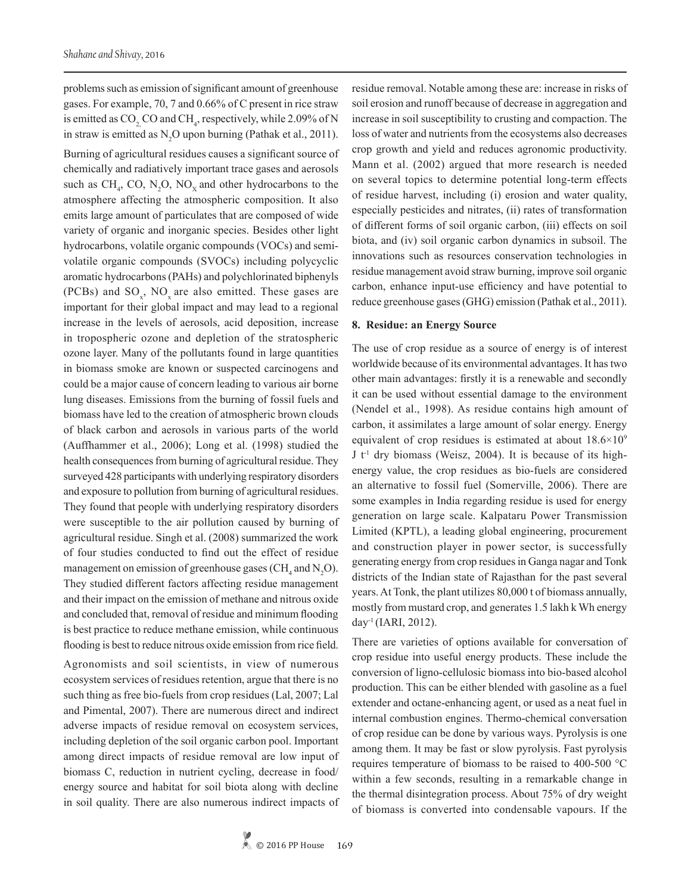problems such as emission of significant amount of greenhouse gases. For example, 70, 7 and 0.66% of C present in rice straw is emitted as  $CO_2$ , CO and CH<sub>4</sub>, respectively, while 2.09% of N in straw is emitted as  $N_2O$  upon burning (Pathak et al., 2011).

Burning of agricultural residues causes a significant source of chemically and radiatively important trace gases and aerosols such as  $CH_4$ , CO, N<sub>2</sub>O, NO<sub>x</sub> and other hydrocarbons to the atmosphere affecting the atmospheric composition. It also emits large amount of particulates that are composed of wide variety of organic and inorganic species. Besides other light hydrocarbons, volatile organic compounds (VOCs) and semivolatile organic compounds (SVOCs) including polycyclic aromatic hydrocarbons (PAHs) and polychlorinated biphenyls (PCBs) and  $SO_{x}$ , NO<sub>x</sub> are also emitted. These gases are important for their global impact and may lead to a regional increase in the levels of aerosols, acid deposition, increase in tropospheric ozone and depletion of the stratospheric ozone layer. Many of the pollutants found in large quantities in biomass smoke are known or suspected carcinogens and could be a major cause of concern leading to various air borne lung diseases. Emissions from the burning of fossil fuels and biomass have led to the creation of atmospheric brown clouds of black carbon and aerosols in various parts of the world (Auffhammer et al., 2006); Long et al. (1998) studied the health consequences from burning of agricultural residue. They surveyed 428 participants with underlying respiratory disorders and exposure to pollution from burning of agricultural residues. They found that people with underlying respiratory disorders were susceptible to the air pollution caused by burning of agricultural residue. Singh et al. (2008) summarized the work of four studies conducted to find out the effect of residue management on emission of greenhouse gases ( $\text{CH}_4$  and  $\text{N}_2\text{O}$ ). They studied different factors affecting residue management and their impact on the emission of methane and nitrous oxide and concluded that, removal of residue and minimum flooding is best practice to reduce methane emission, while continuous flooding is best to reduce nitrous oxide emission from rice field.

Agronomists and soil scientists, in view of numerous ecosystem services of residues retention, argue that there is no such thing as free bio-fuels from crop residues (Lal, 2007; Lal and Pimental, 2007). There are numerous direct and indirect adverse impacts of residue removal on ecosystem services, including depletion of the soil organic carbon pool. Important among direct impacts of residue removal are low input of biomass C, reduction in nutrient cycling, decrease in food/ energy source and habitat for soil biota along with decline in soil quality. There are also numerous indirect impacts of residue removal. Notable among these are: increase in risks of soil erosion and runoff because of decrease in aggregation and increase in soil susceptibility to crusting and compaction. The loss of water and nutrients from the ecosystems also decreases crop growth and yield and reduces agronomic productivity. Mann et al. (2002) argued that more research is needed on several topics to determine potential long-term effects of residue harvest, including (i) erosion and water quality, especially pesticides and nitrates, (ii) rates of transformation of different forms of soil organic carbon, (iii) effects on soil biota, and (iv) soil organic carbon dynamics in subsoil. The innovations such as resources conservation technologies in residue management avoid straw burning, improve soil organic carbon, enhance input-use efficiency and have potential to reduce greenhouse gases (GHG) emission (Pathak et al., 2011).

#### **8. Residue: an Energy Source**

The use of crop residue as a source of energy is of interest worldwide because of its environmental advantages. It has two other main advantages: firstly it is a renewable and secondly it can be used without essential damage to the environment (Nendel et al., 1998). As residue contains high amount of carbon, it assimilates a large amount of solar energy. Energy equivalent of crop residues is estimated at about  $18.6 \times 10^9$  $J t<sup>-1</sup>$  dry biomass (Weisz, 2004). It is because of its highenergy value, the crop residues as bio-fuels are considered an alternative to fossil fuel (Somerville, 2006). There are some examples in India regarding residue is used for energy generation on large scale. Kalpataru Power Transmission Limited (KPTL), a leading global engineering, procurement and construction player in power sector, is successfully generating energy from crop residues in Ganga nagar and Tonk districts of the Indian state of Rajasthan for the past several years. At Tonk, the plant utilizes 80,000 t of biomass annually, mostly from mustard crop, and generates 1.5 lakh k Wh energy day-1 (IARI, 2012).

There are varieties of options available for conversation of crop residue into useful energy products. These include the conversion of ligno-cellulosic biomass into bio-based alcohol production. This can be either blended with gasoline as a fuel extender and octane-enhancing agent, or used as a neat fuel in internal combustion engines. Thermo-chemical conversation of crop residue can be done by various ways. Pyrolysis is one among them. It may be fast or slow pyrolysis. Fast pyrolysis requires temperature of biomass to be raised to 400-500 °C within a few seconds, resulting in a remarkable change in the thermal disintegration process. About 75% of dry weight of biomass is converted into condensable vapours. If the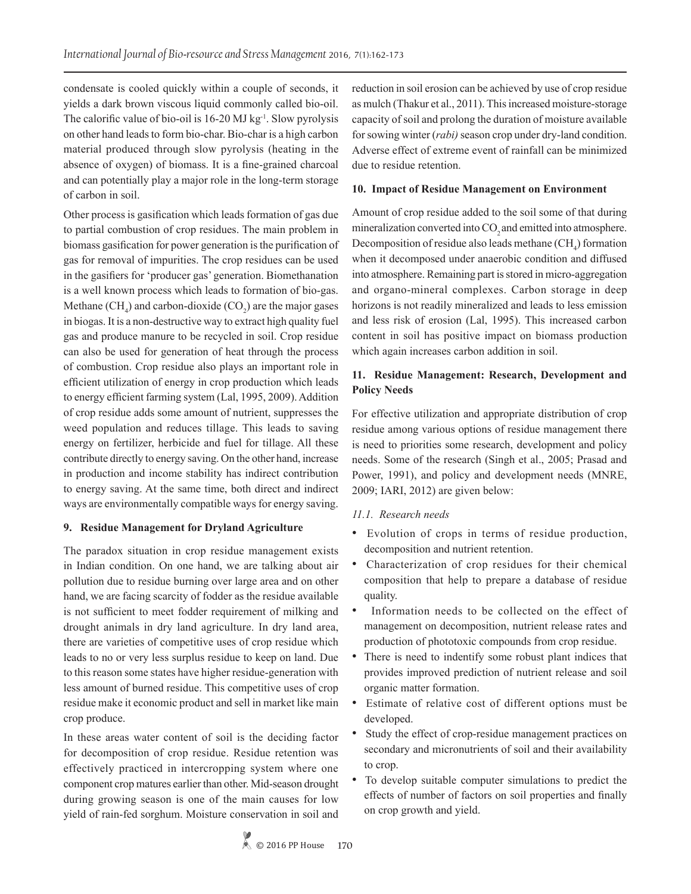condensate is cooled quickly within a couple of seconds, it yields a dark brown viscous liquid commonly called bio-oil. The calorific value of bio-oil is  $16-20$  MJ kg<sup>-1</sup>. Slow pyrolysis on other hand leads to form bio-char. Bio-char is a high carbon material produced through slow pyrolysis (heating in the absence of oxygen) of biomass. It is a fine-grained charcoal and can potentially play a major role in the long-term storage of carbon in soil.

Other process is gasification which leads formation of gas due to partial combustion of crop residues. The main problem in biomass gasification for power generation is the purification of gas for removal of impurities. The crop residues can be used in the gasifiers for 'producer gas' generation. Biomethanation is a well known process which leads to formation of bio-gas. Methane  $(CH_4)$  and carbon-dioxide  $(CO_2)$  are the major gases in biogas. It is a non-destructive way to extract high quality fuel gas and produce manure to be recycled in soil. Crop residue can also be used for generation of heat through the process of combustion. Crop residue also plays an important role in efficient utilization of energy in crop production which leads to energy efficient farming system (Lal, 1995, 2009). Addition of crop residue adds some amount of nutrient, suppresses the weed population and reduces tillage. This leads to saving energy on fertilizer, herbicide and fuel for tillage. All these contribute directly to energy saving. On the other hand, increase in production and income stability has indirect contribution to energy saving. At the same time, both direct and indirect ways are environmentally compatible ways for energy saving.

## **9. Residue Management for Dryland Agriculture**

The paradox situation in crop residue management exists in Indian condition. On one hand, we are talking about air pollution due to residue burning over large area and on other hand, we are facing scarcity of fodder as the residue available is not sufficient to meet fodder requirement of milking and drought animals in dry land agriculture. In dry land area, there are varieties of competitive uses of crop residue which leads to no or very less surplus residue to keep on land. Due to this reason some states have higher residue-generation with less amount of burned residue. This competitive uses of crop residue make it economic product and sell in market like main crop produce.

In these areas water content of soil is the deciding factor for decomposition of crop residue. Residue retention was effectively practiced in intercropping system where one component crop matures earlier than other. Mid-season drought during growing season is one of the main causes for low yield of rain-fed sorghum. Moisture conservation in soil and reduction in soil erosion can be achieved by use of crop residue as mulch (Thakur et al., 2011). This increased moisture-storage capacity of soil and prolong the duration of moisture available for sowing winter (*rabi)* season crop under dry-land condition. Adverse effect of extreme event of rainfall can be minimized due to residue retention.

### **10. Impact of Residue Management on Environment**

Amount of crop residue added to the soil some of that during mineralization converted into CO<sub>2</sub> and emitted into atmosphere. Decomposition of residue also leads methane  $\text{CH}_4$ ) formation when it decomposed under anaerobic condition and diffused into atmosphere. Remaining part is stored in micro-aggregation and organo-mineral complexes. Carbon storage in deep horizons is not readily mineralized and leads to less emission and less risk of erosion (Lal, 1995). This increased carbon content in soil has positive impact on biomass production which again increases carbon addition in soil.

# **11. Residue Management: Research, Development and Policy Needs**

For effective utilization and appropriate distribution of crop residue among various options of residue management there is need to priorities some research, development and policy needs. Some of the research (Singh et al., 2005; Prasad and Power, 1991), and policy and development needs (MNRE, 2009; IARI, 2012) are given below:

#### *11.1. Research needs*

- Evolution of crops in terms of residue production, decomposition and nutrient retention.
- Characterization of crop residues for their chemical composition that help to prepare a database of residue quality.
- Information needs to be collected on the effect of management on decomposition, nutrient release rates and production of phototoxic compounds from crop residue.
- There is need to indentify some robust plant indices that provides improved prediction of nutrient release and soil organic matter formation.
- Estimate of relative cost of different options must be developed.
- Study the effect of crop-residue management practices on secondary and micronutrients of soil and their availability to crop.
- To develop suitable computer simulations to predict the effects of number of factors on soil properties and finally on crop growth and yield.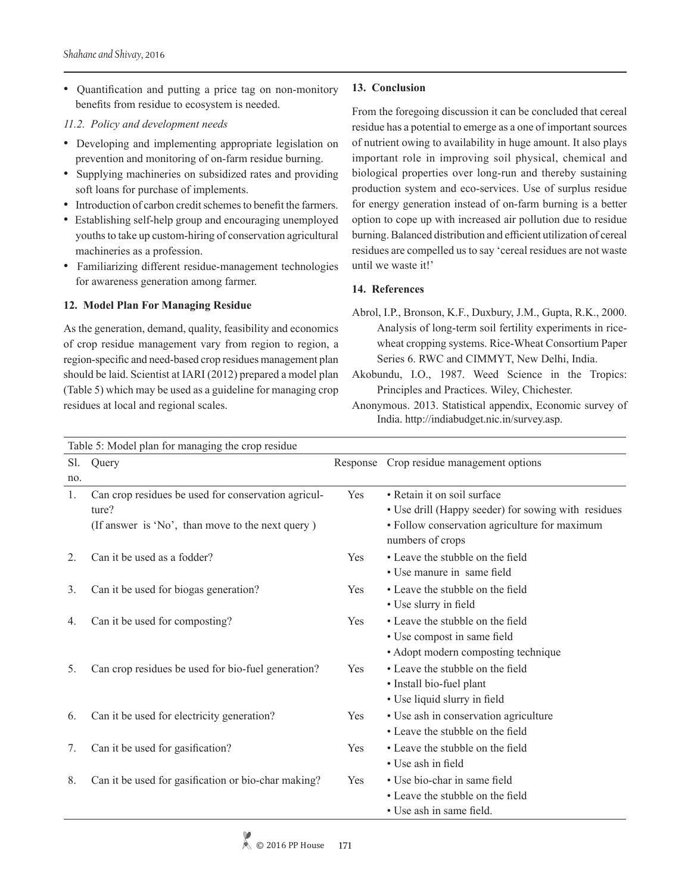• Quantification and putting a price tag on non-monitory benefits from residue to ecosystem is needed.

## *11.2. Policy and development needs*

- Developing and implementing appropriate legislation on prevention and monitoring of on-farm residue burning.
- Supplying machineries on subsidized rates and providing soft loans for purchase of implements.
- Introduction of carbon credit schemes to benefit the farmers.
- Establishing self-help group and encouraging unemployed youths to take up custom-hiring of conservation agricultural machineries as a profession.
- Familiarizing different residue-management technologies for awareness generation among farmer.

## **12. Model Plan For Managing Residue**

As the generation, demand, quality, feasibility and economics of crop residue management vary from region to region, a region-specific and need-based crop residues management plan should be laid. Scientist at IARI (2012) prepared a model plan (Table 5) which may be used as a guideline for managing crop residues at local and regional scales.

# **13. Conclusion**

From the foregoing discussion it can be concluded that cereal residue has a potential to emerge as a one of important sources of nutrient owing to availability in huge amount. It also plays important role in improving soil physical, chemical and biological properties over long-run and thereby sustaining production system and eco-services. Use of surplus residue for energy generation instead of on-farm burning is a better option to cope up with increased air pollution due to residue burning. Balanced distribution and efficient utilization of cereal residues are compelled us to say 'cereal residues are not waste until we waste it!'

# **14. References**

- Abrol, I.P., Bronson, K.F., Duxbury, J.M., Gupta, R.K., 2000. Analysis of long-term soil fertility experiments in ricewheat cropping systems. Rice-Wheat Consortium Paper Series 6. RWC and CIMMYT, New Delhi, India.
- Akobundu, I.O., 1987. Weed Science in the Tropics: Principles and Practices. Wiley, Chichester.
- Anonymous. 2013. Statistical appendix, Economic survey of India. http://indiabudget.nic.in/survey.asp.

| Table 5: Model plan for managing the crop residue |                                                     |            |                                                                   |  |
|---------------------------------------------------|-----------------------------------------------------|------------|-------------------------------------------------------------------|--|
| Sl.                                               | Query                                               | Response   | Crop residue management options                                   |  |
| no.                                               |                                                     |            |                                                                   |  |
| $\mathbf{1}$ .                                    | Can crop residues be used for conservation agricul- | Yes        | • Retain it on soil surface                                       |  |
|                                                   | ture?                                               |            | • Use drill (Happy seeder) for sowing with residues               |  |
|                                                   | (If answer is 'No', than move to the next query)    |            | • Follow conservation agriculture for maximum<br>numbers of crops |  |
| 2.                                                | Can it be used as a fodder?                         | <b>Yes</b> | • Leave the stubble on the field                                  |  |
|                                                   |                                                     |            | • Use manure in same field                                        |  |
| 3.                                                | Can it be used for biogas generation?               | <b>Yes</b> | • Leave the stubble on the field                                  |  |
|                                                   |                                                     |            | • Use slurry in field                                             |  |
| 4.                                                | Can it be used for composting?                      | <b>Yes</b> | • Leave the stubble on the field                                  |  |
|                                                   |                                                     |            | • Use compost in same field                                       |  |
|                                                   |                                                     |            | • Adopt modern composting technique                               |  |
| 5.                                                | Can crop residues be used for bio-fuel generation?  | Yes        | • Leave the stubble on the field                                  |  |
|                                                   |                                                     |            | • Install bio-fuel plant                                          |  |
|                                                   |                                                     |            | • Use liquid slurry in field                                      |  |
| 6.                                                | Can it be used for electricity generation?          | Yes        | • Use ash in conservation agriculture                             |  |
|                                                   |                                                     |            | • Leave the stubble on the field                                  |  |
| 7.                                                | Can it be used for gasification?                    | Yes        | • Leave the stubble on the field                                  |  |
|                                                   |                                                     |            | • Use ash in field                                                |  |
| 8.                                                | Can it be used for gasification or bio-char making? | Yes        | • Use bio-char in same field                                      |  |
|                                                   |                                                     |            | • Leave the stubble on the field                                  |  |
|                                                   |                                                     |            | • Use ash in same field.                                          |  |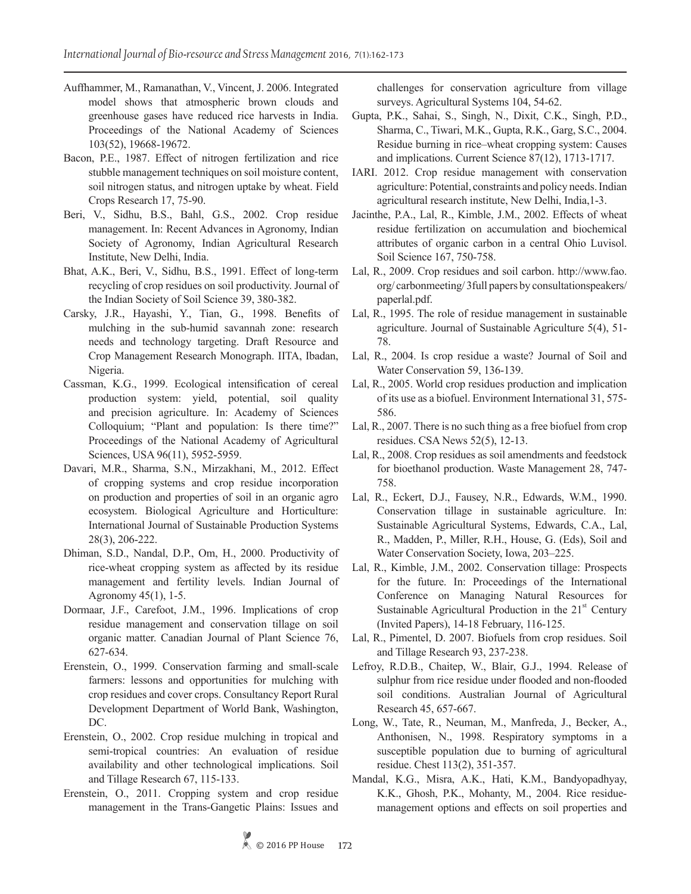- Auffhammer, M., Ramanathan, V., Vincent, J. 2006. Integrated model shows that atmospheric brown clouds and greenhouse gases have reduced rice harvests in India. Proceedings of the National Academy of Sciences 103(52), 19668-19672.
- Bacon, P.E., 1987. Effect of nitrogen fertilization and rice stubble management techniques on soil moisture content, soil nitrogen status, and nitrogen uptake by wheat. Field Crops Research 17, 75-90.
- Beri, V., Sidhu, B.S., Bahl, G.S., 2002. Crop residue management. In: Recent Advances in Agronomy, Indian Society of Agronomy, Indian Agricultural Research Institute, New Delhi, India.
- Bhat, A.K., Beri, V., Sidhu, B.S., 1991. Effect of long-term recycling of crop residues on soil productivity. Journal of the Indian Society of Soil Science 39, 380-382.
- Carsky, J.R., Hayashi, Y., Tian, G., 1998. Benefits of mulching in the sub-humid savannah zone: research needs and technology targeting. Draft Resource and Crop Management Research Monograph. IITA, Ibadan, Nigeria.
- Cassman, K.G., 1999. Ecological intensification of cereal production system: yield, potential, soil quality and precision agriculture. In: Academy of Sciences Colloquium; "Plant and population: Is there time?" Proceedings of the National Academy of Agricultural Sciences, USA 96(11), 5952-5959.
- Davari, M.R., Sharma, S.N., Mirzakhani, M., 2012. Effect of cropping systems and crop residue incorporation on production and properties of soil in an organic agro ecosystem. Biological Agriculture and Horticulture: International Journal of Sustainable Production Systems 28(3), 206-222.
- Dhiman, S.D., Nandal, D.P., Om, H., 2000. Productivity of rice-wheat cropping system as affected by its residue management and fertility levels. Indian Journal of Agronomy 45(1), 1-5.
- Dormaar, J.F., Carefoot, J.M., 1996. Implications of crop residue management and conservation tillage on soil organic matter. Canadian Journal of Plant Science 76, 627-634.
- Erenstein, O., 1999. Conservation farming and small-scale farmers: lessons and opportunities for mulching with crop residues and cover crops. Consultancy Report Rural Development Department of World Bank, Washington, DC.
- Erenstein, O., 2002. Crop residue mulching in tropical and semi-tropical countries: An evaluation of residue availability and other technological implications. Soil and Tillage Research 67, 115-133.
- Erenstein, O., 2011. Cropping system and crop residue management in the Trans-Gangetic Plains: Issues and

challenges for conservation agriculture from village surveys. Agricultural Systems 104, 54-62.

- Gupta, P.K., Sahai, S., Singh, N., Dixit, C.K., Singh, P.D., Sharma, C., Tiwari, M.K., Gupta, R.K., Garg, S.C., 2004. Residue burning in rice–wheat cropping system: Causes and implications. Current Science 87(12), 1713-1717.
- IARI. 2012. Crop residue management with conservation agriculture: Potential, constraints and policy needs. Indian agricultural research institute, New Delhi, India,1-3.
- Jacinthe, P.A., Lal, R., Kimble, J.M., 2002. Effects of wheat residue fertilization on accumulation and biochemical attributes of organic carbon in a central Ohio Luvisol. Soil Science 167, 750-758.
- Lal, R., 2009. Crop residues and soil carbon. http://www.fao. org/ carbonmeeting/ 3full papers by consultationspeakers/ paperlal.pdf.
- Lal, R., 1995. The role of residue management in sustainable agriculture. Journal of Sustainable Agriculture 5(4), 51- 78.
- Lal, R., 2004. Is crop residue a waste? Journal of Soil and Water Conservation 59, 136-139.
- Lal, R., 2005. World crop residues production and implication of its use as a biofuel. Environment International 31, 575- 586.
- Lal, R., 2007. There is no such thing as a free biofuel from crop residues. CSA News 52(5), 12-13.
- Lal, R., 2008. Crop residues as soil amendments and feedstock for bioethanol production. Waste Management 28, 747- 758.
- Lal, R., Eckert, D.J., Fausey, N.R., Edwards, W.M., 1990. Conservation tillage in sustainable agriculture. In: Sustainable Agricultural Systems, Edwards, C.A., Lal, R., Madden, P., Miller, R.H., House, G. (Eds), Soil and Water Conservation Society, Iowa, 203–225.
- Lal, R., Kimble, J.M., 2002. Conservation tillage: Prospects for the future. In: Proceedings of the International Conference on Managing Natural Resources for Sustainable Agricultural Production in the  $21<sup>st</sup>$  Century (Invited Papers), 14-18 February, 116-125.
- Lal, R., Pimentel, D. 2007. Biofuels from crop residues. Soil and Tillage Research 93, 237-238.
- Lefroy, R.D.B., Chaitep, W., Blair, G.J., 1994. Release of sulphur from rice residue under flooded and non-flooded soil conditions. Australian Journal of Agricultural Research 45, 657-667.
- Long, W., Tate, R., Neuman, M., Manfreda, J., Becker, A., Anthonisen, N., 1998. Respiratory symptoms in a susceptible population due to burning of agricultural residue. Chest 113(2), 351-357.
- Mandal, K.G., Misra, A.K., Hati, K.M., Bandyopadhyay, K.K., Ghosh, P.K., Mohanty, M., 2004. Rice residuemanagement options and effects on soil properties and